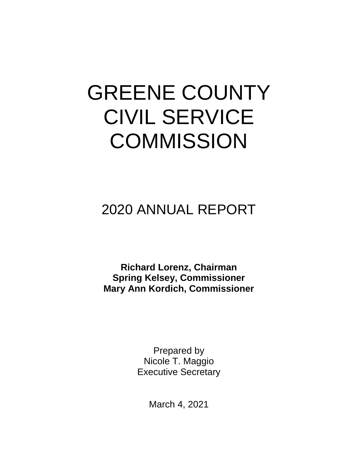# GREENE COUNTY CIVIL SERVICE **COMMISSION**

# 2020 ANNUAL REPORT

**Richard Lorenz, Chairman Spring Kelsey, Commissioner Mary Ann Kordich, Commissioner**

> Prepared by Nicole T. Maggio Executive Secretary

> > March 4, 2021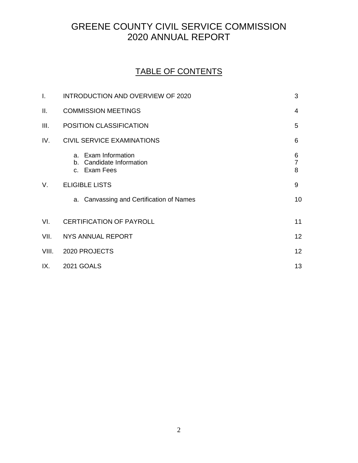## GREENE COUNTY CIVIL SERVICE COMMISSION 2020 ANNUAL REPORT

### TABLE OF CONTENTS

| I.    | INTRODUCTION AND OVERVIEW OF 2020                                  | 3                        |
|-------|--------------------------------------------------------------------|--------------------------|
| ΙΙ.   | <b>COMMISSION MEETINGS</b>                                         | 4                        |
| III.  | POSITION CLASSIFICATION                                            | 5                        |
| IV.   | <b>CIVIL SERVICE EXAMINATIONS</b>                                  | 6                        |
|       | a. Exam Information<br>Candidate Information<br>b.<br>c. Exam Fees | 6<br>$\overline{7}$<br>8 |
| V.    | <b>ELIGIBLE LISTS</b>                                              | 9                        |
|       | a. Canvassing and Certification of Names                           | 10                       |
| VI.   | <b>CERTIFICATION OF PAYROLL</b>                                    | 11                       |
| VII.  | NYS ANNUAL REPORT                                                  | 12                       |
| VIII. | 2020 PROJECTS                                                      | 12                       |
| IX.   | <b>2021 GOALS</b>                                                  | 13                       |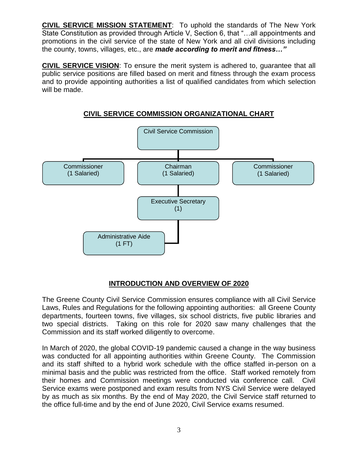**CIVIL SERVICE MISSION STATEMENT**: To uphold the standards of The New York State Constitution as provided through Article V, Section 6, that "…all appointments and promotions in the civil service of the state of New York and all civil divisions including the county, towns, villages, etc., are *made according to merit and fitness…"*

**CIVIL SERVICE VISION**: To ensure the merit system is adhered to, guarantee that all public service positions are filled based on merit and fitness through the exam process and to provide appointing authorities a list of qualified candidates from which selection will be made.



#### **CIVIL SERVICE COMMISSION ORGANIZATIONAL CHART**

#### **INTRODUCTION AND OVERVIEW OF 2020**

The Greene County Civil Service Commission ensures compliance with all Civil Service Laws, Rules and Regulations for the following appointing authorities: all Greene County departments, fourteen towns, five villages, six school districts, five public libraries and two special districts. Taking on this role for 2020 saw many challenges that the Commission and its staff worked diligently to overcome.

In March of 2020, the global COVID-19 pandemic caused a change in the way business was conducted for all appointing authorities within Greene County. The Commission and its staff shifted to a hybrid work schedule with the office staffed in-person on a minimal basis and the public was restricted from the office. Staff worked remotely from their homes and Commission meetings were conducted via conference call. Civil Service exams were postponed and exam results from NYS Civil Service were delayed by as much as six months. By the end of May 2020, the Civil Service staff returned to the office full-time and by the end of June 2020, Civil Service exams resumed.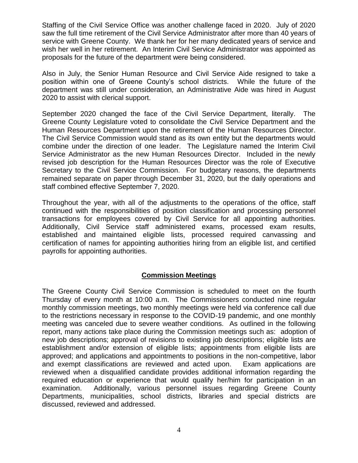Staffing of the Civil Service Office was another challenge faced in 2020. July of 2020 saw the full time retirement of the Civil Service Administrator after more than 40 years of service with Greene County. We thank her for her many dedicated years of service and wish her well in her retirement. An Interim Civil Service Administrator was appointed as proposals for the future of the department were being considered.

Also in July, the Senior Human Resource and Civil Service Aide resigned to take a position within one of Greene County's school districts. While the future of the department was still under consideration, an Administrative Aide was hired in August 2020 to assist with clerical support.

September 2020 changed the face of the Civil Service Department, literally. The Greene County Legislature voted to consolidate the Civil Service Department and the Human Resources Department upon the retirement of the Human Resources Director. The Civil Service Commission would stand as its own entity but the departments would combine under the direction of one leader. The Legislature named the Interim Civil Service Administrator as the new Human Resources Director. Included in the newly revised job description for the Human Resources Director was the role of Executive Secretary to the Civil Service Commission. For budgetary reasons, the departments remained separate on paper through December 31, 2020, but the daily operations and staff combined effective September 7, 2020.

Throughout the year, with all of the adjustments to the operations of the office, staff continued with the responsibilities of position classification and processing personnel transactions for employees covered by Civil Service for all appointing authorities. Additionally, Civil Service staff administered exams, processed exam results, established and maintained eligible lists, processed required canvassing and certification of names for appointing authorities hiring from an eligible list, and certified payrolls for appointing authorities.

#### **Commission Meetings**

The Greene County Civil Service Commission is scheduled to meet on the fourth Thursday of every month at 10:00 a.m. The Commissioners conducted nine regular monthly commission meetings, two monthly meetings were held via conference call due to the restrictions necessary in response to the COVID-19 pandemic, and one monthly meeting was canceled due to severe weather conditions. As outlined in the following report, many actions take place during the Commission meetings such as: adoption of new job descriptions; approval of revisions to existing job descriptions; eligible lists are establishment and/or extension of eligible lists; appointments from eligible lists are approved; and applications and appointments to positions in the non-competitive, labor and exempt classifications are reviewed and acted upon. Exam applications are reviewed when a disqualified candidate provides additional information regarding the required education or experience that would qualify her/him for participation in an examination. Additionally, various personnel issues regarding Greene County Departments, municipalities, school districts, libraries and special districts are discussed, reviewed and addressed.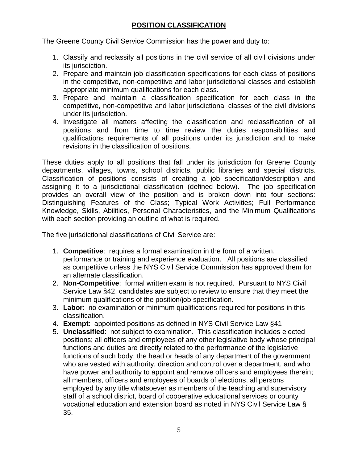#### **POSITION CLASSIFICATION**

The Greene County Civil Service Commission has the power and duty to:

- 1. Classify and reclassify all positions in the civil service of all civil divisions under its jurisdiction.
- 2. Prepare and maintain job classification specifications for each class of positions in the competitive, non-competitive and labor jurisdictional classes and establish appropriate minimum qualifications for each class.
- 3. Prepare and maintain a classification specification for each class in the competitive, non-competitive and labor jurisdictional classes of the civil divisions under its jurisdiction.
- 4. Investigate all matters affecting the classification and reclassification of all positions and from time to time review the duties responsibilities and qualifications requirements of all positions under its jurisdiction and to make revisions in the classification of positions.

These duties apply to all positions that fall under its jurisdiction for Greene County departments, villages, towns, school districts, public libraries and special districts. Classification of positions consists of creating a job specification/description and assigning it to a jurisdictional classification (defined below). The job specification provides an overall view of the position and is broken down into four sections: Distinguishing Features of the Class; Typical Work Activities; Full Performance Knowledge, Skills, Abilities, Personal Characteristics, and the Minimum Qualifications with each section providing an outline of what is required.

The five jurisdictional classifications of Civil Service are:

- 1. **Competitive**: requires a formal examination in the form of a written, performance or training and experience evaluation. All positions are classified as competitive unless the NYS Civil Service Commission has approved them for an alternate classification.
- 2. **Non-Competitive**: formal written exam is not required. Pursuant to NYS Civil Service Law §42, candidates are subject to review to ensure that they meet the minimum qualifications of the position/job specification.
- 3. **Labor**: no examination or minimum qualifications required for positions in this classification.
- 4. **Exempt**: appointed positions as defined in NYS Civil Service Law §41
- 5. **Unclassified**: not subject to examination. This classification includes elected positions; all officers and employees of any other legislative body whose principal functions and duties are directly related to the performance of the legislative functions of such body; the head or heads of any department of the government who are vested with authority, direction and control over a department, and who have power and authority to appoint and remove officers and employees therein; all members, officers and employees of boards of elections, all persons employed by any title whatsoever as members of the teaching and supervisory staff of a school district, board of cooperative educational services or county vocational education and extension board as noted in NYS Civil Service Law § 35.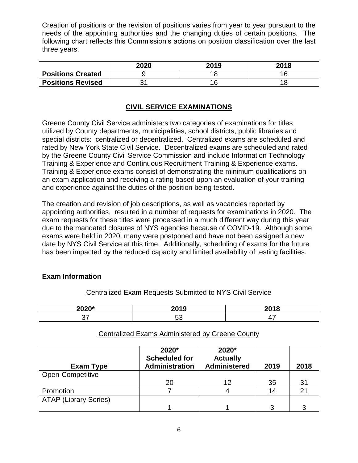Creation of positions or the revision of positions varies from year to year pursuant to the needs of the appointing authorities and the changing duties of certain positions. The following chart reflects this Commission's actions on position classification over the last three years.

|                          | 2020 | 2019 | 2018 |
|--------------------------|------|------|------|
| <b>Positions Created</b> |      |      |      |
| <b>Positions Revised</b> |      | 4 ፎ  |      |

#### **CIVIL SERVICE EXAMINATIONS**

Greene County Civil Service administers two categories of examinations for titles utilized by County departments, municipalities, school districts, public libraries and special districts: centralized or decentralized. Centralized exams are scheduled and rated by New York State Civil Service. Decentralized exams are scheduled and rated by the Greene County Civil Service Commission and include Information Technology Training & Experience and Continuous Recruitment Training & Experience exams. Training & Experience exams consist of demonstrating the minimum qualifications on an exam application and receiving a rating based upon an evaluation of your training and experience against the duties of the position being tested.

The creation and revision of job descriptions, as well as vacancies reported by appointing authorities, resulted in a number of requests for examinations in 2020. The exam requests for these titles were processed in a much different way during this year due to the mandated closures of NYS agencies because of COVID-19. Although some exams were held in 2020, many were postponed and have not been assigned a new date by NYS Civil Service at this time. Additionally, scheduling of exams for the future has been impacted by the reduced capacity and limited availability of testing facilities.

#### **Exam Information**

#### Centralized Exam Requests Submitted to NYS Civil Service

| $\sim$ | ----<br>. . |  |
|--------|-------------|--|
|        |             |  |

#### Centralized Exams Administered by Greene County

| <b>Exam Type</b>             | 2020*<br><b>Scheduled for</b><br><b>Administration</b> | 2020*<br><b>Actually</b><br><b>Administered</b> | 2019 | 2018        |
|------------------------------|--------------------------------------------------------|-------------------------------------------------|------|-------------|
| Open-Competitive             |                                                        |                                                 |      |             |
|                              | 20                                                     | 12                                              | 35   | 31          |
| Promotion                    |                                                        |                                                 | 14   | $2^{\circ}$ |
| <b>ATAP (Library Series)</b> |                                                        |                                                 |      |             |
|                              |                                                        |                                                 |      | ລ           |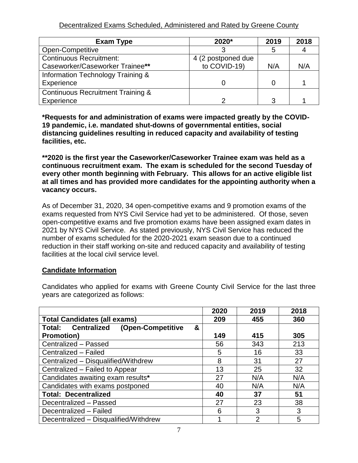Decentralized Exams Scheduled, Administered and Rated by Greene County

| Exam Type                                    | 2020*              | 2019 | 2018 |
|----------------------------------------------|--------------------|------|------|
| Open-Competitive                             |                    | 5    |      |
| <b>Continuous Recruitment:</b>               | 4 (2 postponed due |      |      |
| Caseworker/Caseworker Trainee**              | to COVID-19)       | N/A  | N/A  |
| Information Technology Training &            |                    |      |      |
| Experience                                   |                    |      |      |
| <b>Continuous Recruitment Training &amp;</b> |                    |      |      |
| Experience                                   |                    | 3    |      |

**\*Requests for and administration of exams were impacted greatly by the COVID-19 pandemic, i.e. mandated shut-downs of governmental entities, social distancing guidelines resulting in reduced capacity and availability of testing facilities, etc.** 

**\*\*2020 is the first year the Caseworker/Caseworker Trainee exam was held as a continuous recruitment exam. The exam is scheduled for the second Tuesday of every other month beginning with February. This allows for an active eligible list at all times and has provided more candidates for the appointing authority when a vacancy occurs.**

As of December 31, 2020, 34 open-competitive exams and 9 promotion exams of the exams requested from NYS Civil Service had yet to be administered. Of those, seven open-competitive exams and five promotion exams have been assigned exam dates in 2021 by NYS Civil Service. As stated previously, NYS Civil Service has reduced the number of exams scheduled for the 2020-2021 exam season due to a continued reduction in their staff working on-site and reduced capacity and availability of testing facilities at the local civil service level.

#### **Candidate Information**

|                                           | 2020 | 2019           | 2018 |
|-------------------------------------------|------|----------------|------|
| <b>Total Candidates (all exams)</b>       | 209  | 455            | 360  |
| Total: Centralized (Open-Competitive<br>& |      |                |      |
| <b>Promotion)</b>                         | 149  | 415            | 305  |
| Centralized - Passed                      | 56   | 343            | 213  |
| Centralized - Failed                      | 5    | 16             | 33   |
| Centralized - Disqualified/Withdrew       | 8    | 31             | 27   |
| Centralized - Failed to Appear            | 13   | 25             | 32   |
| Candidates awaiting exam results*         | 27   | N/A            | N/A  |
| Candidates with exams postponed           | 40   | N/A            | N/A  |
| <b>Total: Decentralized</b>               | 40   | 37             | 51   |
| Decentralized - Passed                    | 27   | 23             | 38   |
| Decentralized - Failed                    | 6    | 3              | 3    |
| Decentralized - Disqualified/Withdrew     |      | $\overline{2}$ | 5    |

Candidates who applied for exams with Greene County Civil Service for the last three years are categorized as follows: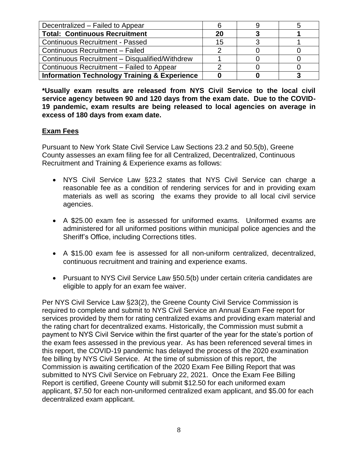| Decentralized - Failed to Appear                        |    |  |
|---------------------------------------------------------|----|--|
| <b>Total: Continuous Recruitment</b>                    | 20 |  |
| <b>Continuous Recruitment - Passed</b>                  | 15 |  |
| Continuous Recruitment - Failed                         |    |  |
| Continuous Recruitment - Disqualified/Withdrew          |    |  |
| Continuous Recruitment – Failed to Appear               |    |  |
| <b>Information Technology Training &amp; Experience</b> |    |  |

**\*Usually exam results are released from NYS Civil Service to the local civil service agency between 90 and 120 days from the exam date. Due to the COVID-19 pandemic, exam results are being released to local agencies on average in excess of 180 days from exam date.** 

#### **Exam Fees**

Pursuant to New York State Civil Service Law Sections 23.2 and 50.5(b), Greene County assesses an exam filing fee for all Centralized, Decentralized, Continuous Recruitment and Training & Experience exams as follows:

- NYS Civil Service Law §23.2 states that NYS Civil Service can charge a reasonable fee as a condition of rendering services for and in providing exam materials as well as scoring the exams they provide to all local civil service agencies.
- A \$25.00 exam fee is assessed for uniformed exams. Uniformed exams are administered for all uniformed positions within municipal police agencies and the Sheriff's Office, including Corrections titles.
- A \$15.00 exam fee is assessed for all non-uniform centralized, decentralized, continuous recruitment and training and experience exams.
- Pursuant to NYS Civil Service Law §50.5(b) under certain criteria candidates are eligible to apply for an exam fee waiver.

Per NYS Civil Service Law §23(2), the Greene County Civil Service Commission is required to complete and submit to NYS Civil Service an Annual Exam Fee report for services provided by them for rating centralized exams and providing exam material and the rating chart for decentralized exams. Historically, the Commission must submit a payment to NYS Civil Service within the first quarter of the year for the state's portion of the exam fees assessed in the previous year. As has been referenced several times in this report, the COVID-19 pandemic has delayed the process of the 2020 examination fee billing by NYS Civil Service. At the time of submission of this report, the Commission is awaiting certification of the 2020 Exam Fee Billing Report that was submitted to NYS Civil Service on February 22, 2021. Once the Exam Fee Billing Report is certified, Greene County will submit \$12.50 for each uniformed exam applicant, \$7.50 for each non-uniformed centralized exam applicant, and \$5.00 for each decentralized exam applicant.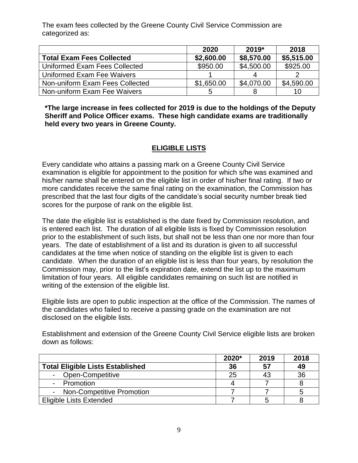The exam fees collected by the Greene County Civil Service Commission are categorized as:

|                                  | 2020       | 2019*      | 2018       |
|----------------------------------|------------|------------|------------|
| <b>Total Exam Fees Collected</b> | \$2,600.00 | \$8,570.00 | \$5,515.00 |
| Uniformed Exam Fees Collected    | \$950.00   | \$4,500.00 | \$925.00   |
| Uniformed Exam Fee Waivers       |            | Δ          |            |
| Non-uniform Exam Fees Collected  | \$1,650.00 | \$4,070.00 | \$4,590.00 |
| Non-uniform Exam Fee Waivers     | 5          |            | 10         |

**\*The large increase in fees collected for 2019 is due to the holdings of the Deputy Sheriff and Police Officer exams. These high candidate exams are traditionally held every two years in Greene County.**

#### **ELIGIBLE LISTS**

Every candidate who attains a passing mark on a Greene County Civil Service examination is eligible for appointment to the position for which s/he was examined and his/her name shall be entered on the eligible list in order of his/her final rating. If two or more candidates receive the same final rating on the examination, the Commission has prescribed that the last four digits of the candidate's social security number break tied scores for the purpose of rank on the eligible list.

The date the eligible list is established is the date fixed by Commission resolution, and is entered each list. The duration of all eligible lists is fixed by Commission resolution prior to the establishment of such lists, but shall not be less than one nor more than four years. The date of establishment of a list and its duration is given to all successful candidates at the time when notice of standing on the eligible list is given to each candidate. When the duration of an eligible list is less than four years, by resolution the Commission may, prior to the list's expiration date, extend the list up to the maximum limitation of four years. All eligible candidates remaining on such list are notified in writing of the extension of the eligible list.

Eligible lists are open to public inspection at the office of the Commission. The names of the candidates who failed to receive a passing grade on the examination are not disclosed on the eligible lists.

Establishment and extension of the Greene County Civil Service eligible lists are broken down as follows:

|                                         | 2020* | 2019 | 2018 |
|-----------------------------------------|-------|------|------|
| <b>Total Eligible Lists Established</b> | 36    | 57   | 49   |
| Open-Competitive                        | 25    |      | 36   |
| Promotion                               |       |      |      |
| <b>Non-Competitive Promotion</b>        |       |      |      |
| <b>Eligible Lists Extended</b>          |       |      |      |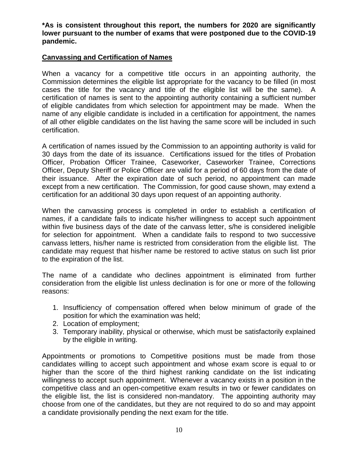**\*As is consistent throughout this report, the numbers for 2020 are significantly lower pursuant to the number of exams that were postponed due to the COVID-19 pandemic.**

#### **Canvassing and Certification of Names**

When a vacancy for a competitive title occurs in an appointing authority, the Commission determines the eligible list appropriate for the vacancy to be filled (in most cases the title for the vacancy and title of the eligible list will be the same). A certification of names is sent to the appointing authority containing a sufficient number of eligible candidates from which selection for appointment may be made. When the name of any eligible candidate is included in a certification for appointment, the names of all other eligible candidates on the list having the same score will be included in such certification.

A certification of names issued by the Commission to an appointing authority is valid for 30 days from the date of its issuance. Certifications issued for the titles of Probation Officer, Probation Officer Trainee, Caseworker, Caseworker Trainee, Corrections Officer, Deputy Sheriff or Police Officer are valid for a period of 60 days from the date of their issuance. After the expiration date of such period, no appointment can made except from a new certification. The Commission, for good cause shown, may extend a certification for an additional 30 days upon request of an appointing authority.

When the canvassing process is completed in order to establish a certification of names, if a candidate fails to indicate his/her willingness to accept such appointment within five business days of the date of the canvass letter, s/he is considered ineligible for selection for appointment. When a candidate fails to respond to two successive canvass letters, his/her name is restricted from consideration from the eligible list. The candidate may request that his/her name be restored to active status on such list prior to the expiration of the list.

The name of a candidate who declines appointment is eliminated from further consideration from the eligible list unless declination is for one or more of the following reasons:

- 1. Insufficiency of compensation offered when below minimum of grade of the position for which the examination was held;
- 2. Location of employment;
- 3. Temporary inability, physical or otherwise, which must be satisfactorily explained by the eligible in writing.

Appointments or promotions to Competitive positions must be made from those candidates willing to accept such appointment and whose exam score is equal to or higher than the score of the third highest ranking candidate on the list indicating willingness to accept such appointment. Whenever a vacancy exists in a position in the competitive class and an open-competitive exam results in two or fewer candidates on the eligible list, the list is considered non-mandatory. The appointing authority may choose from one of the candidates, but they are not required to do so and may appoint a candidate provisionally pending the next exam for the title.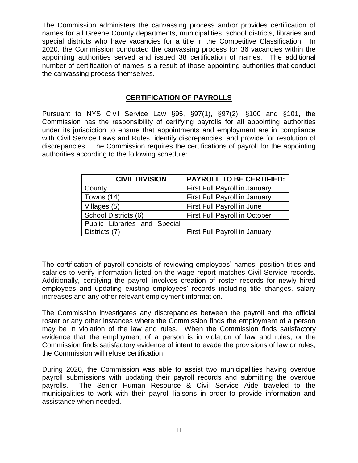The Commission administers the canvassing process and/or provides certification of names for all Greene County departments, municipalities, school districts, libraries and special districts who have vacancies for a title in the Competitive Classification. In 2020, the Commission conducted the canvassing process for 36 vacancies within the appointing authorities served and issued 38 certification of names. The additional number of certification of names is a result of those appointing authorities that conduct the canvassing process themselves.

#### **CERTIFICATION OF PAYROLLS**

Pursuant to NYS Civil Service Law §95, §97(1), §97(2), §100 and §101, the Commission has the responsibility of certifying payrolls for all appointing authorities under its jurisdiction to ensure that appointments and employment are in compliance with Civil Service Laws and Rules, identify discrepancies, and provide for resolution of discrepancies. The Commission requires the certifications of payroll for the appointing authorities according to the following schedule:

| <b>CIVIL DIVISION</b>        | <b>PAYROLL TO BE CERTIFIED:</b>      |  |  |
|------------------------------|--------------------------------------|--|--|
| County                       | First Full Payroll in January        |  |  |
| Towns (14)                   | First Full Payroll in January        |  |  |
| Villages (5)                 | First Full Payroll in June           |  |  |
| School Districts (6)         | <b>First Full Payroll in October</b> |  |  |
| Public Libraries and Special |                                      |  |  |
| Districts (7)                | First Full Payroll in January        |  |  |

The certification of payroll consists of reviewing employees' names, position titles and salaries to verify information listed on the wage report matches Civil Service records. Additionally, certifying the payroll involves creation of roster records for newly hired employees and updating existing employees' records including title changes, salary increases and any other relevant employment information.

The Commission investigates any discrepancies between the payroll and the official roster or any other instances where the Commission finds the employment of a person may be in violation of the law and rules. When the Commission finds satisfactory evidence that the employment of a person is in violation of law and rules, or the Commission finds satisfactory evidence of intent to evade the provisions of law or rules, the Commission will refuse certification.

During 2020, the Commission was able to assist two municipalities having overdue payroll submissions with updating their payroll records and submitting the overdue payrolls. The Senior Human Resource & Civil Service Aide traveled to the municipalities to work with their payroll liaisons in order to provide information and assistance when needed.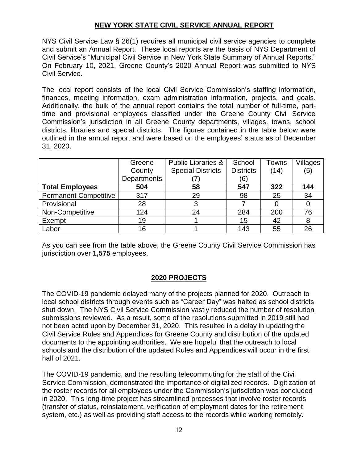#### **NEW YORK STATE CIVIL SERVICE ANNUAL REPORT**

NYS Civil Service Law § 26(1) requires all municipal civil service agencies to complete and submit an Annual Report. These local reports are the basis of NYS Department of Civil Service's "Municipal Civil Service in New York State Summary of Annual Reports." On February 10, 2021, Greene County's 2020 Annual Report was submitted to NYS Civil Service.

The local report consists of the local Civil Service Commission's staffing information, finances, meeting information, exam administration information, projects, and goals. Additionally, the bulk of the annual report contains the total number of full-time, parttime and provisional employees classified under the Greene County Civil Service Commission's jurisdiction in all Greene County departments, villages, towns, school districts, libraries and special districts. The figures contained in the table below were outlined in the annual report and were based on the employees' status as of December 31, 2020.

|                              | Greene             | <b>Public Libraries &amp;</b> | School           | Towns | Villages |
|------------------------------|--------------------|-------------------------------|------------------|-------|----------|
|                              | County             | <b>Special Districts</b>      | <b>Districts</b> | (14)  | (5)      |
|                              | <b>Departments</b> |                               | (6)              |       |          |
| <b>Total Employees</b>       | 504                | 58                            | 547              | 322   | 144      |
| <b>Permanent Competitive</b> | 317                | 29                            | 98               | 25    | 34       |
| Provisional                  | 28                 |                               |                  |       |          |
| Non-Competitive              | 124                | 24                            | 284              | 200   | 76       |
| Exempt                       | 19                 |                               | 15               | 42    | 8        |
| Labor                        | 16                 |                               | 143              | 55    | 26       |

As you can see from the table above, the Greene County Civil Service Commission has jurisdiction over **1,575** employees.

#### **2020 PROJECTS**

The COVID-19 pandemic delayed many of the projects planned for 2020. Outreach to local school districts through events such as "Career Day" was halted as school districts shut down. The NYS Civil Service Commission vastly reduced the number of resolution submissions reviewed. As a result, some of the resolutions submitted in 2019 still had not been acted upon by December 31, 2020. This resulted in a delay in updating the Civil Service Rules and Appendices for Greene County and distribution of the updated documents to the appointing authorities. We are hopeful that the outreach to local schools and the distribution of the updated Rules and Appendices will occur in the first half of 2021.

The COVID-19 pandemic, and the resulting telecommuting for the staff of the Civil Service Commission, demonstrated the importance of digitalized records. Digitization of the roster records for all employees under the Commission's jurisdiction was concluded in 2020. This long-time project has streamlined processes that involve roster records (transfer of status, reinstatement, verification of employment dates for the retirement system, etc.) as well as providing staff access to the records while working remotely.